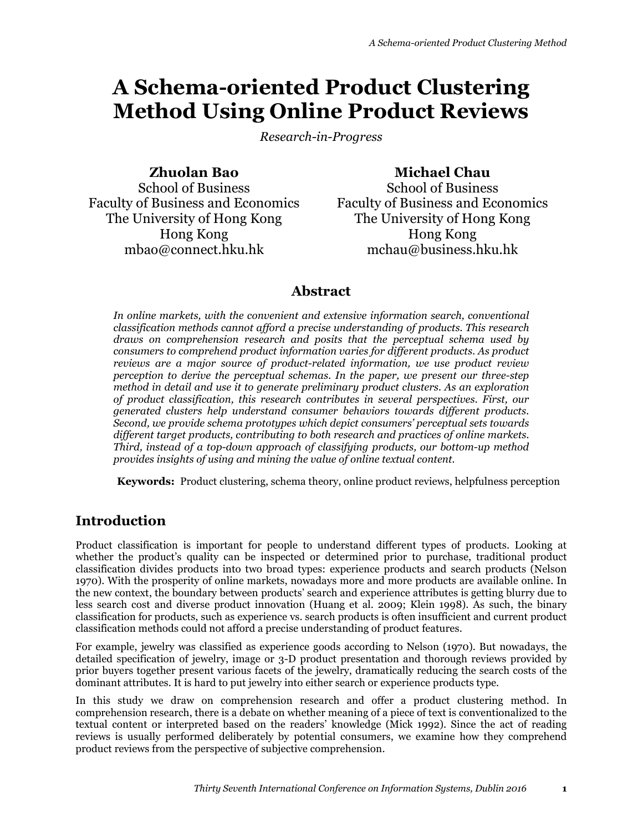# **A Schema-oriented Product Clustering Method Using Online Product Reviews**

*Research-in-Progress* 

**Zhuolan Bao**

**Michael Chau**

School of Business Faculty of Business and Economics The University of Hong Kong Hong Kong mbao@connect.hku.hk

School of Business Faculty of Business and Economics The University of Hong Kong Hong Kong mchau@business.hku.hk

# **Abstract**

In online markets, with the convenient and extensive information search, conventional *classification methods cannot afford a precise understanding of products. This research draws on comprehension research and posits that the perceptual schema used by consumers to comprehend product information varies for different products. As product reviews are a major source of product-related information, we use product review perception to derive the perceptual schemas. In the paper, we present our three-step method in detail and use it to generate preliminary product clusters. As an exploration of product classification, this research contributes in several perspectives. First, our generated clusters help understand consumer behaviors towards different products. Second, we provide schema prototypes which depict consumers' perceptual sets towards different target products, contributing to both research and practices of online markets. Third, instead of a top-down approach of classifying products, our bottom-up method provides insights of using and mining the value of online textual content.* 

**Keywords:** Product clustering, schema theory, online product reviews, helpfulness perception

# **Introduction**

Product classification is important for people to understand different types of products. Looking at whether the product's quality can be inspected or determined prior to purchase, traditional product classification divides products into two broad types: experience products and search products (Nelson 1970). With the prosperity of online markets, nowadays more and more products are available online. In the new context, the boundary between products' search and experience attributes is getting blurry due to less search cost and diverse product innovation (Huang et al. 2009; Klein 1998). As such, the binary classification for products, such as experience vs. search products is often insufficient and current product classification methods could not afford a precise understanding of product features.

For example, jewelry was classified as experience goods according to Nelson (1970). But nowadays, the detailed specification of jewelry, image or 3-D product presentation and thorough reviews provided by prior buyers together present various facets of the jewelry, dramatically reducing the search costs of the dominant attributes. It is hard to put jewelry into either search or experience products type.

In this study we draw on comprehension research and offer a product clustering method. In comprehension research, there is a debate on whether meaning of a piece of text is conventionalized to the textual content or interpreted based on the readers' knowledge (Mick 1992). Since the act of reading reviews is usually performed deliberately by potential consumers, we examine how they comprehend product reviews from the perspective of subjective comprehension.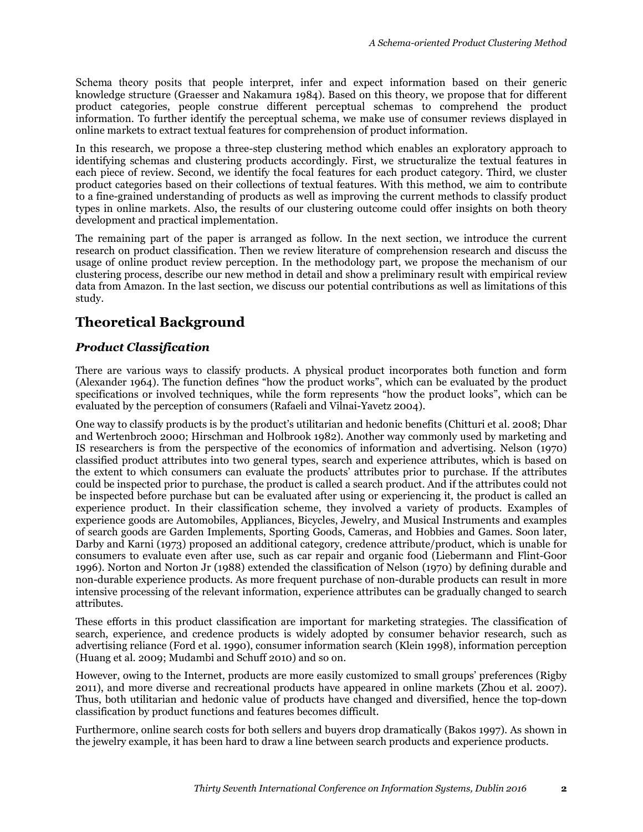Schema theory posits that people interpret, infer and expect information based on their generic knowledge structure (Graesser and Nakamura 1984). Based on this theory, we propose that for different product categories, people construe different perceptual schemas to comprehend the product information. To further identify the perceptual schema, we make use of consumer reviews displayed in online markets to extract textual features for comprehension of product information.

In this research, we propose a three-step clustering method which enables an exploratory approach to identifying schemas and clustering products accordingly. First, we structuralize the textual features in each piece of review. Second, we identify the focal features for each product category. Third, we cluster product categories based on their collections of textual features. With this method, we aim to contribute to a fine-grained understanding of products as well as improving the current methods to classify product types in online markets. Also, the results of our clustering outcome could offer insights on both theory development and practical implementation.

The remaining part of the paper is arranged as follow. In the next section, we introduce the current research on product classification. Then we review literature of comprehension research and discuss the usage of online product review perception. In the methodology part, we propose the mechanism of our clustering process, describe our new method in detail and show a preliminary result with empirical review data from Amazon. In the last section, we discuss our potential contributions as well as limitations of this study.

# **Theoretical Background**

## *Product Classification*

There are various ways to classify products. A physical product incorporates both function and form (Alexander 1964). The function defines "how the product works", which can be evaluated by the product specifications or involved techniques, while the form represents "how the product looks", which can be evaluated by the perception of consumers (Rafaeli and Vilnai-Yavetz 2004).

One way to classify products is by the product's utilitarian and hedonic benefits (Chitturi et al. 2008; Dhar and Wertenbroch 2000; Hirschman and Holbrook 1982). Another way commonly used by marketing and IS researchers is from the perspective of the economics of information and advertising. Nelson (1970) classified product attributes into two general types, search and experience attributes, which is based on the extent to which consumers can evaluate the products' attributes prior to purchase. If the attributes could be inspected prior to purchase, the product is called a search product. And if the attributes could not be inspected before purchase but can be evaluated after using or experiencing it, the product is called an experience product. In their classification scheme, they involved a variety of products. Examples of experience goods are Automobiles, Appliances, Bicycles, Jewelry, and Musical Instruments and examples of search goods are Garden Implements, Sporting Goods, Cameras, and Hobbies and Games. Soon later, Darby and Karni (1973) proposed an additional category, credence attribute/product, which is unable for consumers to evaluate even after use, such as car repair and organic food (Liebermann and Flint-Goor 1996). Norton and Norton Jr (1988) extended the classification of Nelson (1970) by defining durable and non-durable experience products. As more frequent purchase of non-durable products can result in more intensive processing of the relevant information, experience attributes can be gradually changed to search attributes.

These efforts in this product classification are important for marketing strategies. The classification of search, experience, and credence products is widely adopted by consumer behavior research, such as advertising reliance (Ford et al. 1990), consumer information search (Klein 1998), information perception (Huang et al. 2009; Mudambi and Schuff 2010) and so on.

However, owing to the Internet, products are more easily customized to small groups' preferences (Rigby 2011), and more diverse and recreational products have appeared in online markets (Zhou et al. 2007). Thus, both utilitarian and hedonic value of products have changed and diversified, hence the top-down classification by product functions and features becomes difficult.

Furthermore, online search costs for both sellers and buyers drop dramatically (Bakos 1997). As shown in the jewelry example, it has been hard to draw a line between search products and experience products.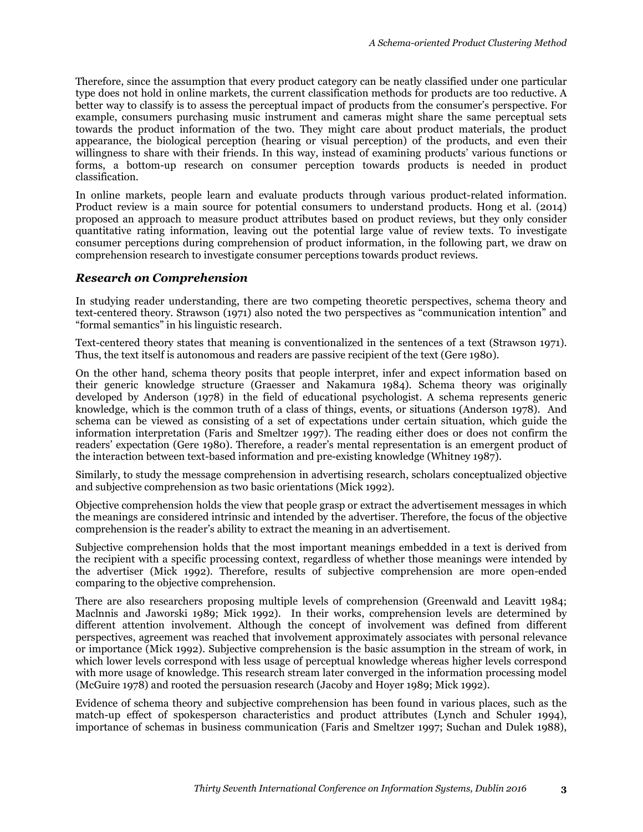Therefore, since the assumption that every product category can be neatly classified under one particular type does not hold in online markets, the current classification methods for products are too reductive. A better way to classify is to assess the perceptual impact of products from the consumer's perspective. For example, consumers purchasing music instrument and cameras might share the same perceptual sets towards the product information of the two. They might care about product materials, the product appearance, the biological perception (hearing or visual perception) of the products, and even their willingness to share with their friends. In this way, instead of examining products' various functions or forms, a bottom-up research on consumer perception towards products is needed in product classification.

In online markets, people learn and evaluate products through various product-related information. Product review is a main source for potential consumers to understand products. Hong et al. (2014) proposed an approach to measure product attributes based on product reviews, but they only consider quantitative rating information, leaving out the potential large value of review texts. To investigate consumer perceptions during comprehension of product information, in the following part, we draw on comprehension research to investigate consumer perceptions towards product reviews.

#### *Research on Comprehension*

In studying reader understanding, there are two competing theoretic perspectives, schema theory and text-centered theory. Strawson (1971) also noted the two perspectives as "communication intention" and "formal semantics" in his linguistic research.

Text-centered theory states that meaning is conventionalized in the sentences of a text (Strawson 1971). Thus, the text itself is autonomous and readers are passive recipient of the text (Gere 1980).

On the other hand, schema theory posits that people interpret, infer and expect information based on their generic knowledge structure (Graesser and Nakamura 1984). Schema theory was originally developed by Anderson (1978) in the field of educational psychologist. A schema represents generic knowledge, which is the common truth of a class of things, events, or situations (Anderson 1978). And schema can be viewed as consisting of a set of expectations under certain situation, which guide the information interpretation (Faris and Smeltzer 1997). The reading either does or does not confirm the readers' expectation (Gere 1980). Therefore, a reader's mental representation is an emergent product of the interaction between text-based information and pre-existing knowledge (Whitney 1987).

Similarly, to study the message comprehension in advertising research, scholars conceptualized objective and subjective comprehension as two basic orientations (Mick 1992).

Objective comprehension holds the view that people grasp or extract the advertisement messages in which the meanings are considered intrinsic and intended by the advertiser. Therefore, the focus of the objective comprehension is the reader's ability to extract the meaning in an advertisement.

Subjective comprehension holds that the most important meanings embedded in a text is derived from the recipient with a specific processing context, regardless of whether those meanings were intended by the advertiser (Mick 1992). Therefore, results of subjective comprehension are more open-ended comparing to the objective comprehension.

There are also researchers proposing multiple levels of comprehension (Greenwald and Leavitt 1984; Maclnnis and Jaworski 1989; Mick 1992). In their works, comprehension levels are determined by different attention involvement. Although the concept of involvement was defined from different perspectives, agreement was reached that involvement approximately associates with personal relevance or importance (Mick 1992). Subjective comprehension is the basic assumption in the stream of work, in which lower levels correspond with less usage of perceptual knowledge whereas higher levels correspond with more usage of knowledge. This research stream later converged in the information processing model (McGuire 1978) and rooted the persuasion research (Jacoby and Hoyer 1989; Mick 1992).

Evidence of schema theory and subjective comprehension has been found in various places, such as the match-up effect of spokesperson characteristics and product attributes (Lynch and Schuler 1994), importance of schemas in business communication (Faris and Smeltzer 1997; Suchan and Dulek 1988),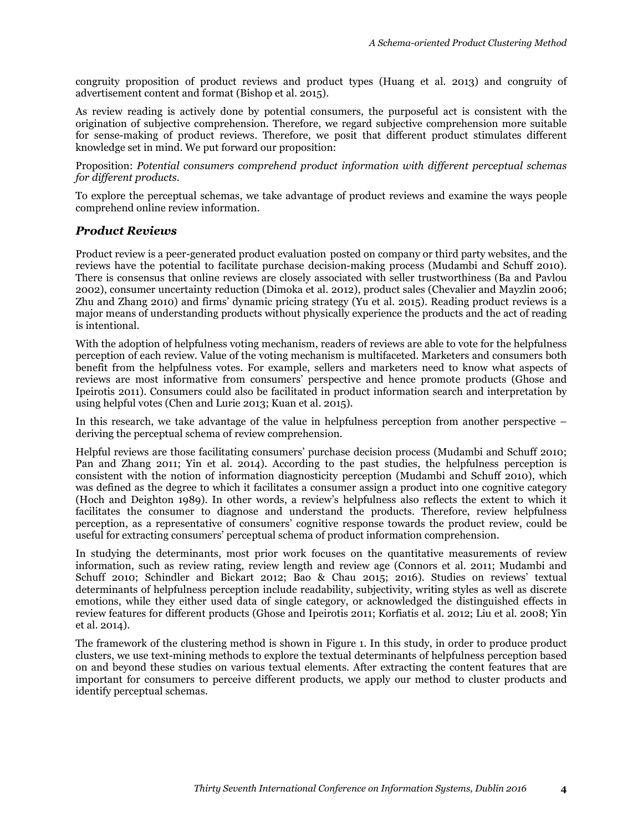congruity proposition of product reviews and product types (Huang et al. 2013) and congruity of advertisement content and format (Bishop et al. 2015).

As review reading is actively done by potential consumers, the purposeful act is consistent with the origination of subjective comprehension. Therefore, we regard subjective comprehension more suitable for sense-making of product reviews. Therefore, we posit that different product stimulates different knowledge set in mind. We put forward our proposition:

Proposition: *Potential consumers comprehend product information with different perceptual schemas for different products.*

To explore the perceptual schemas, we take advantage of product reviews and examine the ways people comprehend online review information.

### *Product Reviews*

Product review is a peer-generated product evaluation posted on company or third party websites, and the reviews have the potential to facilitate purchase decision-making process (Mudambi and Schuff 2010). There is consensus that online reviews are closely associated with seller trustworthiness (Ba and Pavlou 2002), consumer uncertainty reduction (Dimoka et al. 2012), product sales (Chevalier and Mayzlin 2006; Zhu and Zhang 2010) and firms' dynamic pricing strategy ( $\overline{Yu}$  et al. 2015). Reading product reviews is a major means of understanding products without physically experience the products and the act of reading is intentional.

With the adoption of helpfulness voting mechanism, readers of reviews are able to vote for the helpfulness perception of each review. Value of the voting mechanism is multifaceted. Marketers and consumers both benefit from the helpfulness votes. For example, sellers and marketers need to know what aspects of reviews are most informative from consumers' perspective and hence promote products (Ghose and Ipeirotis 2011). Consumers could also be facilitated in product information search and interpretation by using helpful votes (Chen and Lurie 2013; Kuan et al. 2015).

In this research, we take advantage of the value in helpfulness perception from another perspective – deriving the perceptual schema of review comprehension.

Helpful reviews are those facilitating consumers' purchase decision process (Mudambi and Schuff 2010; Pan and Zhang 2011; Yin et al. 2014). According to the past studies, the helpfulness perception is consistent with the notion of information diagnosticity perception (Mudambi and Schuff 2010), which was defined as the degree to which it facilitates a consumer assign a product into one cognitive category (Hoch and Deighton 1989). In other words, a review's helpfulness also reflects the extent to which it facilitates the consumer to diagnose and understand the products. Therefore, review helpfulness perception, as a representative of consumers' cognitive response towards the product review, could be useful for extracting consumers' perceptual schema of product information comprehension.

In studying the determinants, most prior work focuses on the quantitative measurements of review information, such as review rating, review length and review age (Connors et al. 2011; Mudambi and Schuff 2010; Schindler and Bickart 2012; Bao & Chau 2015; 2016). Studies on reviews' textual determinants of helpfulness perception include readability, subjectivity, writing styles as well as discrete emotions, while they either used data of single category, or acknowledged the distinguished effects in review features for different products (Ghose and Ipeirotis 2011; Korfiatis et al. 2012; Liu et al. 2008; Yin et al. 2014).

The framework of the clustering method is shown in Figure 1. In this study, in order to produce product clusters, we use text-mining methods to explore the textual determinants of helpfulness perception based on and beyond these studies on various textual elements. After extracting the content features that are important for consumers to perceive different products, we apply our method to cluster products and identify perceptual schemas.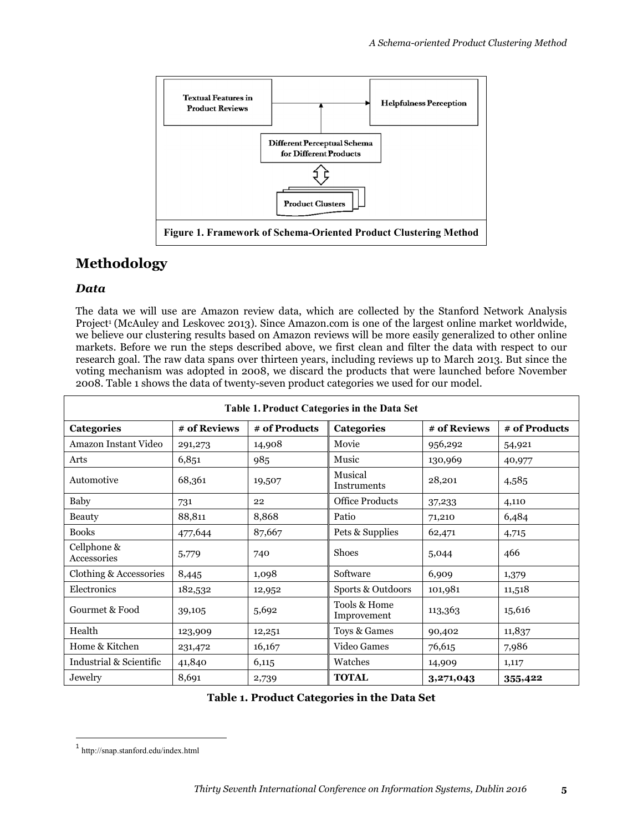

# **Methodology**

### *Data*

The data we will use are Amazon review data, which are collected by the Stanford Network Analysis Project<sup>1</sup> (McAuley and Leskovec 2013). Since Amazon.com is one of the largest online market worldwide, we believe our clustering results based on Amazon reviews will be more easily generalized to other online markets. Before we run the steps described above, we first clean and filter the data with respect to our research goal. The raw data spans over thirteen years, including reviews up to March 2013. But since the voting mechanism was adopted in 2008, we discard the products that were launched before November 2008. Table 1 shows the data of twenty-seven product categories we used for our model.

| Table 1. Product Categories in the Data Set |              |               |                             |              |               |  |  |  |
|---------------------------------------------|--------------|---------------|-----------------------------|--------------|---------------|--|--|--|
| <b>Categories</b>                           | # of Reviews | # of Products | Categories                  | # of Reviews | # of Products |  |  |  |
| Amazon Instant Video                        | 291,273      | 14,908        | Movie                       | 956,292      | 54,921        |  |  |  |
| Arts                                        | 6,851        | 985           | Music                       | 130,969      | 40,977        |  |  |  |
| Automotive                                  | 68,361       | 19,507        | Musical<br>Instruments      | 28,201       | 4,585         |  |  |  |
| Baby                                        | 731          | 22            | <b>Office Products</b>      | 37,233       | 4,110         |  |  |  |
| Beauty                                      | 88,811       | 8,868         | Patio                       | 71,210       | 6,484         |  |  |  |
| <b>Books</b>                                | 477,644      | 87,667        | Pets & Supplies             | 62,471       | 4,715         |  |  |  |
| Cellphone &<br>Accessories                  | 5,779        | 740           | <b>Shoes</b>                | 5,044        | 466           |  |  |  |
| Clothing & Accessories                      | 8,445        | 1,098         | Software                    | 6,909        | 1,379         |  |  |  |
| Electronics                                 | 182,532      | 12,952        | Sports & Outdoors           | 101,981      | 11,518        |  |  |  |
| Gourmet & Food                              | 39,105       | 5,692         | Tools & Home<br>Improvement | 113,363      | 15,616        |  |  |  |
| Health                                      | 123,909      | 12,251        | Toys & Games                | 90,402       | 11,837        |  |  |  |
| Home & Kitchen                              | 231,472      | 16,167        | Video Games                 | 76,615       | 7,986         |  |  |  |
| Industrial & Scientific                     | 41,840       | 6,115         | Watches                     | 14,909       | 1,117         |  |  |  |
| Jewelry                                     | 8,691        | 2,739         | <b>TOTAL</b>                | 3,271,043    | 355,422       |  |  |  |

**Table 1. Product Categories in the Data Set**

 $\overline{a}$ 

<sup>1</sup> http://snap.stanford.edu/index.html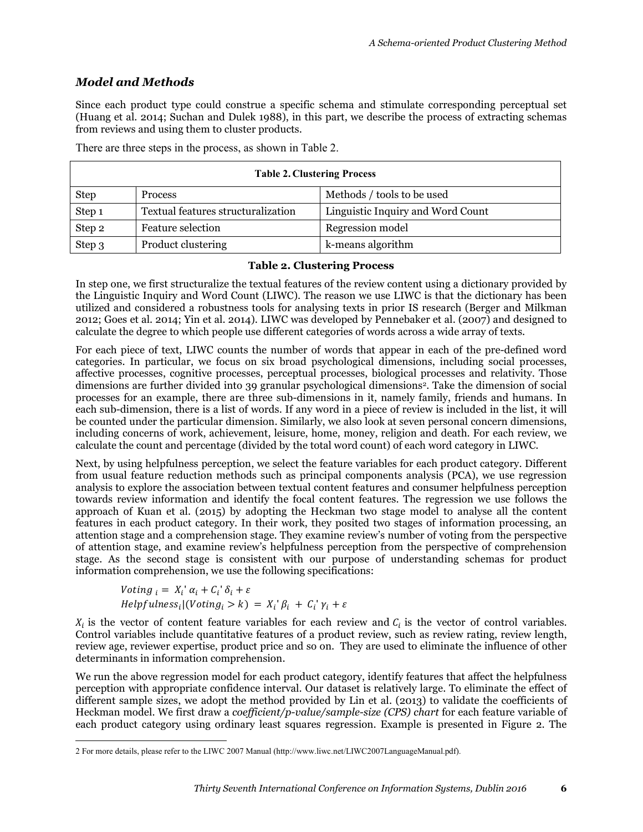## *Model and Methods*

Since each product type could construe a specific schema and stimulate corresponding perceptual set (Huang et al. 2014; Suchan and Dulek 1988), in this part, we describe the process of extracting schemas from reviews and using them to cluster products.

There are three steps in the process, as shown in Table 2.

| <b>Table 2. Clustering Process</b> |                                    |                                   |  |  |  |  |
|------------------------------------|------------------------------------|-----------------------------------|--|--|--|--|
| <b>Step</b>                        | <b>Process</b>                     | Methods / tools to be used        |  |  |  |  |
| Step 1                             | Textual features structuralization | Linguistic Inquiry and Word Count |  |  |  |  |
| Step 2                             | Feature selection                  | Regression model                  |  |  |  |  |
| Step 3                             | Product clustering                 | k-means algorithm                 |  |  |  |  |

#### **Table 2. Clustering Process**

In step one, we first structuralize the textual features of the review content using a dictionary provided by the Linguistic Inquiry and Word Count (LIWC). The reason we use LIWC is that the dictionary has been utilized and considered a robustness tools for analysing texts in prior IS research (Berger and Milkman 2012; Goes et al. 2014; Yin et al. 2014). LIWC was developed by Pennebaker et al. (2007) and designed to calculate the degree to which people use different categories of words across a wide array of texts.

For each piece of text, LIWC counts the number of words that appear in each of the pre-defined word categories. In particular, we focus on six broad psychological dimensions, including social processes, affective processes, cognitive processes, perceptual processes, biological processes and relativity. Those dimensions are further divided into 39 granular psychological dimensions<sup>2</sup>. Take the dimension of social processes for an example, there are three sub-dimensions in it, namely family, friends and humans. In each sub-dimension, there is a list of words. If any word in a piece of review is included in the list, it will be counted under the particular dimension. Similarly, we also look at seven personal concern dimensions, including concerns of work, achievement, leisure, home, money, religion and death. For each review, we calculate the count and percentage (divided by the total word count) of each word category in LIWC.

Next, by using helpfulness perception, we select the feature variables for each product category. Different from usual feature reduction methods such as principal components analysis (PCA), we use regression analysis to explore the association between textual content features and consumer helpfulness perception towards review information and identify the focal content features. The regression we use follows the approach of Kuan et al. (2015) by adopting the Heckman two stage model to analyse all the content features in each product category. In their work, they posited two stages of information processing, an attention stage and a comprehension stage. They examine review's number of voting from the perspective of attention stage, and examine review's helpfulness perception from the perspective of comprehension stage. As the second stage is consistent with our purpose of understanding schemas for product information comprehension, we use the following specifications:

Voting  $_i = X_i' \alpha_i + C_i' \delta_i + \varepsilon$  $Helpfulness_i|(Voting_i > k) = X_i^{\dagger} \beta_i + C_i^{\dagger} \gamma_i + \varepsilon$ 

 $\overline{a}$ 

 $X_i$  is the vector of content feature variables for each review and  $C_i$  is the vector of control variables. Control variables include quantitative features of a product review, such as review rating, review length, review age, reviewer expertise, product price and so on. They are used to eliminate the influence of other determinants in information comprehension.

We run the above regression model for each product category, identify features that affect the helpfulness perception with appropriate confidence interval. Our dataset is relatively large. To eliminate the effect of different sample sizes, we adopt the method provided by Lin et al. (2013) to validate the coefficients of Heckman model. We first draw a *coefficient/p-value/sample-size (CPS) chart* for each feature variable of each product category using ordinary least squares regression. Example is presented in Figure 2. The

<sup>2</sup> For more details, please refer to the LIWC 2007 Manual (http://www.liwc.net/LIWC2007LanguageManual.pdf).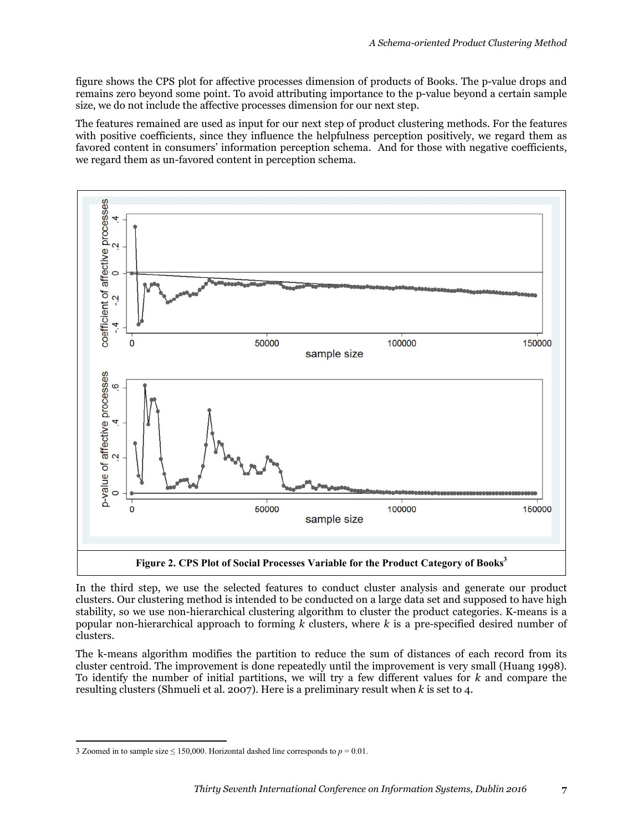figure shows the CPS plot for affective processes dimension of products of Books. The p-value drops and remains zero beyond some point. To avoid attributing importance to the p-value beyond a certain sample size, we do not include the affective processes dimension for our next step.

The features remained are used as input for our next step of product clustering methods. For the features with positive coefficients, since they influence the helpfulness perception positively, we regard them as favored content in consumers' information perception schema. And for those with negative coefficients, we regard them as un-favored content in perception schema.



In the third step, we use the selected features to conduct cluster analysis and generate our product clusters. Our clustering method is intended to be conducted on a large data set and supposed to have high stability, so we use non-hierarchical clustering algorithm to cluster the product categories. K-means is a popular non-hierarchical approach to forming *k* clusters, where *k* is a pre-specified desired number of clusters.

The k-means algorithm modifies the partition to reduce the sum of distances of each record from its cluster centroid. The improvement is done repeatedly until the improvement is very small (Huang 1998). To identify the number of initial partitions, we will try a few different values for *k* and compare the resulting clusters (Shmueli et al. 2007). Here is a preliminary result when *k* is set to 4.

 $\overline{a}$ 

<sup>3</sup> Zoomed in to sample size  $\leq$  150,000. Horizontal dashed line corresponds to  $p = 0.01$ .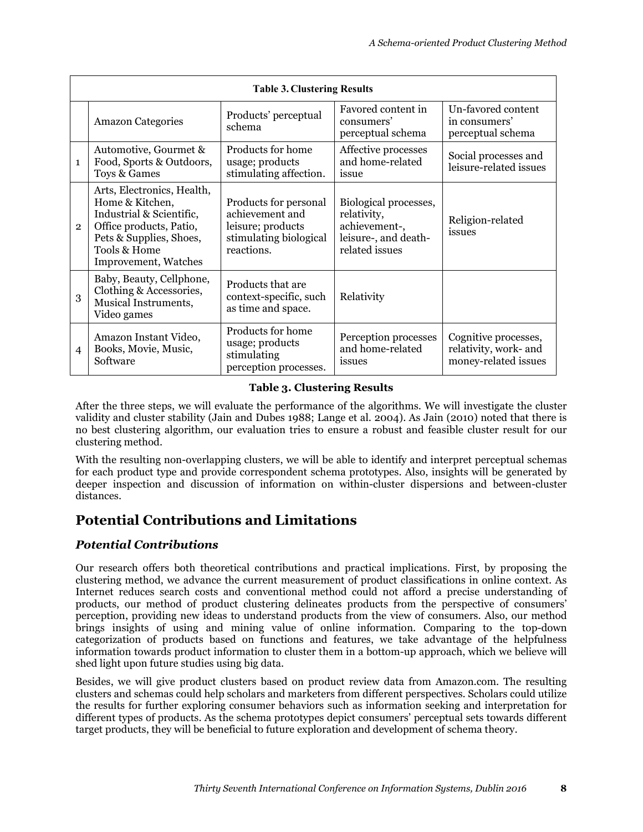| <b>Table 3. Clustering Results</b> |                                                                                                                                                                         |                                                                                                       |                                                                                                 |                                                                       |  |  |  |
|------------------------------------|-------------------------------------------------------------------------------------------------------------------------------------------------------------------------|-------------------------------------------------------------------------------------------------------|-------------------------------------------------------------------------------------------------|-----------------------------------------------------------------------|--|--|--|
|                                    | <b>Amazon Categories</b>                                                                                                                                                | Products' perceptual<br>schema                                                                        | Favored content in<br>consumers'<br>perceptual schema                                           | Un-favored content<br>in consumers'<br>perceptual schema              |  |  |  |
| $\mathbf{1}$                       | Automotive, Gourmet &<br>Food, Sports & Outdoors,<br>Toys & Games                                                                                                       | Products for home<br>usage; products<br>stimulating affection.                                        | Affective processes<br>and home-related<br>issue                                                | Social processes and<br>leisure-related issues                        |  |  |  |
| $\overline{2}$                     | Arts, Electronics, Health,<br>Home & Kitchen,<br>Industrial & Scientific,<br>Office products, Patio,<br>Pets & Supplies, Shoes,<br>Tools & Home<br>Improvement, Watches | Products for personal<br>achievement and<br>leisure; products<br>stimulating biological<br>reactions. | Biological processes,<br>relativity,<br>achievement-,<br>leisure-, and death-<br>related issues | Religion-related<br>issues                                            |  |  |  |
| 3                                  | Baby, Beauty, Cellphone,<br>Clothing & Accessories,<br>Musical Instruments,<br>Video games                                                                              | Products that are<br>context-specific, such<br>as time and space.                                     | Relativity                                                                                      |                                                                       |  |  |  |
| $\overline{4}$                     | Amazon Instant Video,<br>Books, Movie, Music,<br>Software                                                                                                               | Products for home<br>usage; products<br>stimulating<br>perception processes.                          | Perception processes<br>and home-related<br>issues                                              | Cognitive processes,<br>relativity, work- and<br>money-related issues |  |  |  |

### **Table 3. Clustering Results**

After the three steps, we will evaluate the performance of the algorithms. We will investigate the cluster validity and cluster stability (Jain and Dubes 1988; Lange et al. 2004). As Jain (2010) noted that there is no best clustering algorithm, our evaluation tries to ensure a robust and feasible cluster result for our clustering method.

With the resulting non-overlapping clusters, we will be able to identify and interpret perceptual schemas for each product type and provide correspondent schema prototypes. Also, insights will be generated by deeper inspection and discussion of information on within-cluster dispersions and between-cluster distances.

# **Potential Contributions and Limitations**

## *Potential Contributions*

Our research offers both theoretical contributions and practical implications. First, by proposing the clustering method, we advance the current measurement of product classifications in online context. As Internet reduces search costs and conventional method could not afford a precise understanding of products, our method of product clustering delineates products from the perspective of consumers' perception, providing new ideas to understand products from the view of consumers. Also, our method brings insights of using and mining value of online information. Comparing to the top-down categorization of products based on functions and features, we take advantage of the helpfulness information towards product information to cluster them in a bottom-up approach, which we believe will shed light upon future studies using big data.

Besides, we will give product clusters based on product review data from Amazon.com. The resulting clusters and schemas could help scholars and marketers from different perspectives. Scholars could utilize the results for further exploring consumer behaviors such as information seeking and interpretation for different types of products. As the schema prototypes depict consumers' perceptual sets towards different target products, they will be beneficial to future exploration and development of schema theory.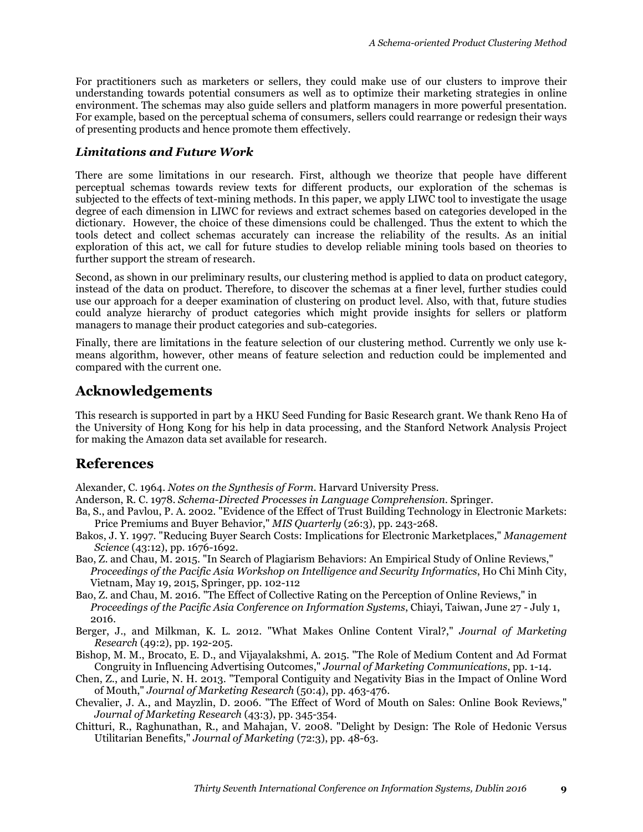For practitioners such as marketers or sellers, they could make use of our clusters to improve their understanding towards potential consumers as well as to optimize their marketing strategies in online environment. The schemas may also guide sellers and platform managers in more powerful presentation. For example, based on the perceptual schema of consumers, sellers could rearrange or redesign their ways of presenting products and hence promote them effectively.

#### *Limitations and Future Work*

There are some limitations in our research. First, although we theorize that people have different perceptual schemas towards review texts for different products, our exploration of the schemas is subjected to the effects of text-mining methods. In this paper, we apply LIWC tool to investigate the usage degree of each dimension in LIWC for reviews and extract schemes based on categories developed in the dictionary. However, the choice of these dimensions could be challenged. Thus the extent to which the tools detect and collect schemas accurately can increase the reliability of the results. As an initial exploration of this act, we call for future studies to develop reliable mining tools based on theories to further support the stream of research.

Second, as shown in our preliminary results, our clustering method is applied to data on product category, instead of the data on product. Therefore, to discover the schemas at a finer level, further studies could use our approach for a deeper examination of clustering on product level. Also, with that, future studies could analyze hierarchy of product categories which might provide insights for sellers or platform managers to manage their product categories and sub-categories.

Finally, there are limitations in the feature selection of our clustering method. Currently we only use kmeans algorithm, however, other means of feature selection and reduction could be implemented and compared with the current one.

## **Acknowledgements**

This research is supported in part by a HKU Seed Funding for Basic Research grant. We thank Reno Ha of the University of Hong Kong for his help in data processing, and the Stanford Network Analysis Project for making the Amazon data set available for research.

## **References**

Alexander, C. 1964. *Notes on the Synthesis of Form*. Harvard University Press.

- Anderson, R. C. 1978. *Schema-Directed Processes in Language Comprehension*. Springer.
- Ba, S., and Pavlou, P. A. 2002. "Evidence of the Effect of Trust Building Technology in Electronic Markets: Price Premiums and Buyer Behavior," *MIS Quarterly* (26:3), pp. 243-268.
- Bakos, J. Y. 1997. "Reducing Buyer Search Costs: Implications for Electronic Marketplaces," *Management Science* (43:12), pp. 1676-1692.
- Bao, Z. and Chau, M. 2015. "In Search of Plagiarism Behaviors: An Empirical Study of Online Reviews," *Proceedings of the Pacific Asia Workshop on Intelligence and Security Informatics*, Ho Chi Minh City, Vietnam, May 19, 2015, Springer, pp. 102-112
- Bao, Z. and Chau, M. 2016. "The Effect of Collective Rating on the Perception of Online Reviews," in *Proceedings of the Pacific Asia Conference on Information Systems*, Chiayi, Taiwan, June 27 - July 1, 2016.
- Berger, J., and Milkman, K. L. 2012. "What Makes Online Content Viral?," *Journal of Marketing Research* (49:2), pp. 192-205.
- Bishop, M. M., Brocato, E. D., and Vijayalakshmi, A. 2015. "The Role of Medium Content and Ad Format Congruity in Influencing Advertising Outcomes," *Journal of Marketing Communications*, pp. 1-14.
- Chen, Z., and Lurie, N. H. 2013. "Temporal Contiguity and Negativity Bias in the Impact of Online Word of Mouth," *Journal of Marketing Research* (50:4), pp. 463-476.
- Chevalier, J. A., and Mayzlin, D. 2006. "The Effect of Word of Mouth on Sales: Online Book Reviews," *Journal of Marketing Research* (43:3), pp. 345-354.
- Chitturi, R., Raghunathan, R., and Mahajan, V. 2008. "Delight by Design: The Role of Hedonic Versus Utilitarian Benefits," *Journal of Marketing* (72:3), pp. 48-63.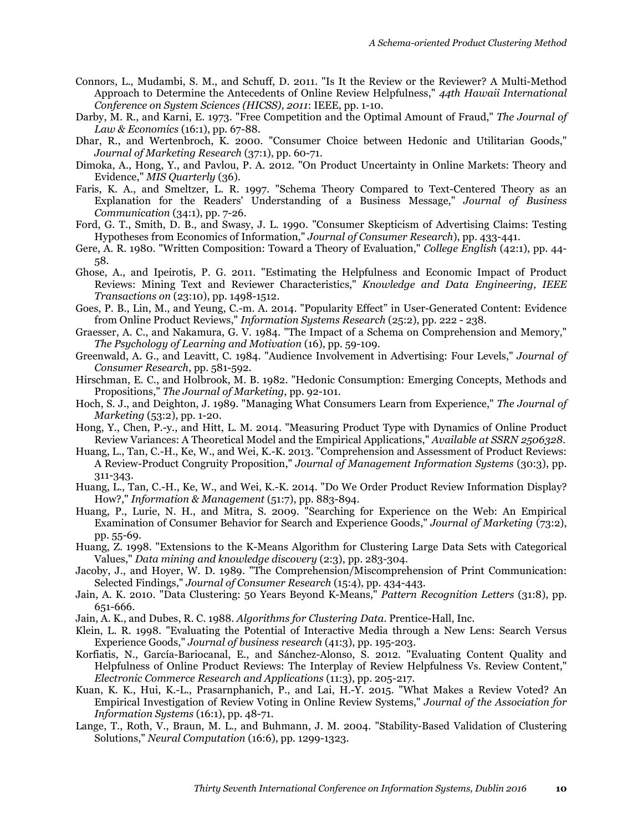- Connors, L., Mudambi, S. M., and Schuff, D. 2011. "Is It the Review or the Reviewer? A Multi-Method Approach to Determine the Antecedents of Online Review Helpfulness," *44th Hawaii International Conference on System Sciences (HICSS), 2011*: IEEE, pp. 1-10.
- Darby, M. R., and Karni, E. 1973. "Free Competition and the Optimal Amount of Fraud," *The Journal of Law & Economics* (16:1), pp. 67-88.
- Dhar, R., and Wertenbroch, K. 2000. "Consumer Choice between Hedonic and Utilitarian Goods," *Journal of Marketing Research* (37:1), pp. 60-71.
- Dimoka, A., Hong, Y., and Pavlou, P. A. 2012. "On Product Uncertainty in Online Markets: Theory and Evidence," *MIS Quarterly* (36).
- Faris, K. A., and Smeltzer, L. R. 1997. "Schema Theory Compared to Text-Centered Theory as an Explanation for the Readers' Understanding of a Business Message," *Journal of Business Communication* (34:1), pp. 7-26.
- Ford, G. T., Smith, D. B., and Swasy, J. L. 1990. "Consumer Skepticism of Advertising Claims: Testing Hypotheses from Economics of Information," *Journal of Consumer Research*), pp. 433-441.
- Gere, A. R. 1980. "Written Composition: Toward a Theory of Evaluation," *College English* (42:1), pp. 44- 58.
- Ghose, A., and Ipeirotis, P. G. 2011. "Estimating the Helpfulness and Economic Impact of Product Reviews: Mining Text and Reviewer Characteristics," *Knowledge and Data Engineering, IEEE Transactions on* (23:10), pp. 1498-1512.
- Goes, P. B., Lin, M., and Yeung, C.-m. A. 2014. "Popularity Effect" in User-Generated Content: Evidence from Online Product Reviews," *Information Systems Research* (25:2), pp. 222 - 238.
- Graesser, A. C., and Nakamura, G. V. 1984. "The Impact of a Schema on Comprehension and Memory," *The Psychology of Learning and Motivation* (16), pp. 59-109.
- Greenwald, A. G., and Leavitt, C. 1984. "Audience Involvement in Advertising: Four Levels," *Journal of Consumer Research*, pp. 581-592.
- Hirschman, E. C., and Holbrook, M. B. 1982. "Hedonic Consumption: Emerging Concepts, Methods and Propositions," *The Journal of Marketing*, pp. 92-101.
- Hoch, S. J., and Deighton, J. 1989. "Managing What Consumers Learn from Experience," *The Journal of Marketing* (53:2), pp. 1-20.
- Hong, Y., Chen, P.-y., and Hitt, L. M. 2014. "Measuring Product Type with Dynamics of Online Product Review Variances: A Theoretical Model and the Empirical Applications," *Available at SSRN 2506328*.
- Huang, L., Tan, C.-H., Ke, W., and Wei, K.-K. 2013. "Comprehension and Assessment of Product Reviews: A Review-Product Congruity Proposition," *Journal of Management Information Systems* (30:3), pp. 311-343.
- Huang, L., Tan, C.-H., Ke, W., and Wei, K.-K. 2014. "Do We Order Product Review Information Display? How?," *Information & Management* (51:7), pp. 883-894.
- Huang, P., Lurie, N. H., and Mitra, S. 2009. "Searching for Experience on the Web: An Empirical Examination of Consumer Behavior for Search and Experience Goods," *Journal of Marketing* (73:2), pp. 55-69.
- Huang, Z. 1998. "Extensions to the K-Means Algorithm for Clustering Large Data Sets with Categorical Values," *Data mining and knowledge discovery* (2:3), pp. 283-304.
- Jacoby, J., and Hoyer, W. D. 1989. "The Comprehension/Miscomprehension of Print Communication: Selected Findings," *Journal of Consumer Research* (15:4), pp. 434-443.
- Jain, A. K. 2010. "Data Clustering: 50 Years Beyond K-Means," *Pattern Recognition Letters* (31:8), pp. 651-666.

Jain, A. K., and Dubes, R. C. 1988. *Algorithms for Clustering Data*. Prentice-Hall, Inc.

- Klein, L. R. 1998. "Evaluating the Potential of Interactive Media through a New Lens: Search Versus Experience Goods," *Journal of business research* (41:3), pp. 195-203.
- Korfiatis, N., García-Bariocanal, E., and Sánchez-Alonso, S. 2012. "Evaluating Content Quality and Helpfulness of Online Product Reviews: The Interplay of Review Helpfulness Vs. Review Content," *Electronic Commerce Research and Applications* (11:3), pp. 205-217.
- Kuan, K. K., Hui, K.-L., Prasarnphanich, P., and Lai, H.-Y. 2015. "What Makes a Review Voted? An Empirical Investigation of Review Voting in Online Review Systems," *Journal of the Association for Information Systems* (16:1), pp. 48-71.
- Lange, T., Roth, V., Braun, M. L., and Buhmann, J. M. 2004. "Stability-Based Validation of Clustering Solutions," *Neural Computation* (16:6), pp. 1299-1323.